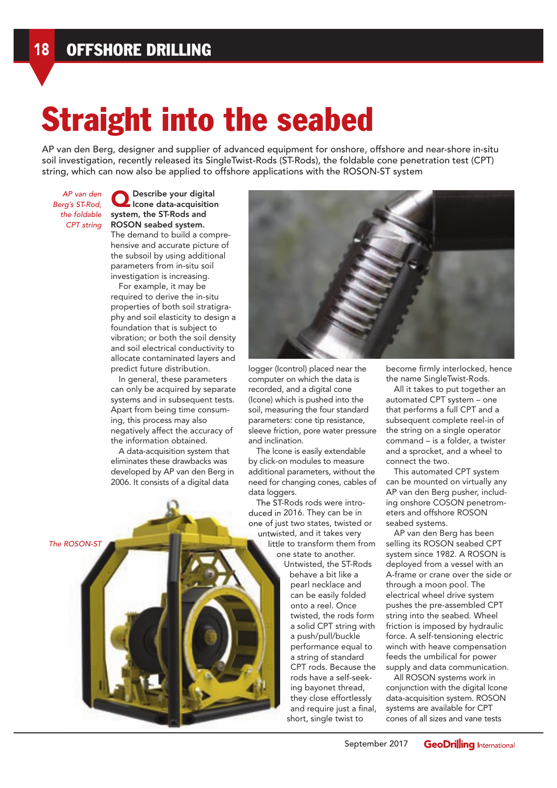## Straight into the seabed

AP van den Berg, designer and supplier of advanced equipment for onshore, offshore and near-shore in-situ soil investigation, recently released its SingleTwist-Rods (ST-Rods), the foldable cone penetration test (CPT) string, which can now also be applied to offshore applications with the ROSON-ST system

AP van den Berg's ST-Rod, the foldable CPT string

The ROSON-ST

**O** Describe your digital<br>Icone data-acquisition system, the ST-Rods and ROSON seabed system. The demand to build a comprehensive and accurate picture of the subsoil by using additional parameters from in-situ soil investigation is increasing.

For example, it may be required to derive the in-situ properties of both soil stratigraphy and soil elasticity to design a foundation that is subject to vibration; or both the soil density and soil electrical conductivity to allocate contaminated layers and predict future distribution.

In general, these parameters can only be acquired by separate systems and in subsequent tests. Apart from being time consuming, this process may also negatively affect the accuracy of the information obtained.

A data-acquisition system that eliminates these drawbacks was developed by AP van den Berg in 2006. It consists of a digital data

logger (Icontrol) placed near the computer on which the data is recorded, and a digital cone (Icone) which is pushed into the soil, measuring the four standard parameters: cone tip resistance, sleeve friction, pore water pressure and inclination.

The lcone is easily extendable by click-on modules to measure additional parameters, without the need for changing cones, cables of data loggers.

The ST-Rods rods were introduced in 2016. They can be in one of just two states, twisted or untwisted, and it takes very little to transform them from one state to another.

Untwisted, the ST-Rods behave a bit like a pearl necklace and can be easily folded onto a reel. Once twisted, the rods form a solid CPT string with a push/pull/buckle performance equal to a string of standard CPT rods. Because the rods have a self-seeking bayonet thread, they close effortlessly and require just a final, short, single twist to

become firmly interlocked, hence the name SingleTwist-Rods.

All it takes to put together an automated CPT system – one that performs a full CPT and a subsequent complete reel-in of the string on a single operator command – is a folder, a twister and a sprocket, and a wheel to connect the two.

This automated CPT system can be mounted on virtually any AP van den Berg pusher, including onshore COSON penetrometers and offshore ROSON seabed systems.

AP van den Berg has been selling its ROSON seabed CPT system since 1982. A ROSON is deployed from a vessel with an A-frame or crane over the side or through a moon pool. The electrical wheel drive system pushes the pre-assembled CPT string into the seabed. Wheel friction is imposed by hydraulic force. A self-tensioning electric winch with heave compensation feeds the umbilical for power supply and data communication.

All ROSON systems work in conjunction with the digital Icone data-acquisition system. ROSON systems are available for CPT cones of all sizes and vane tests